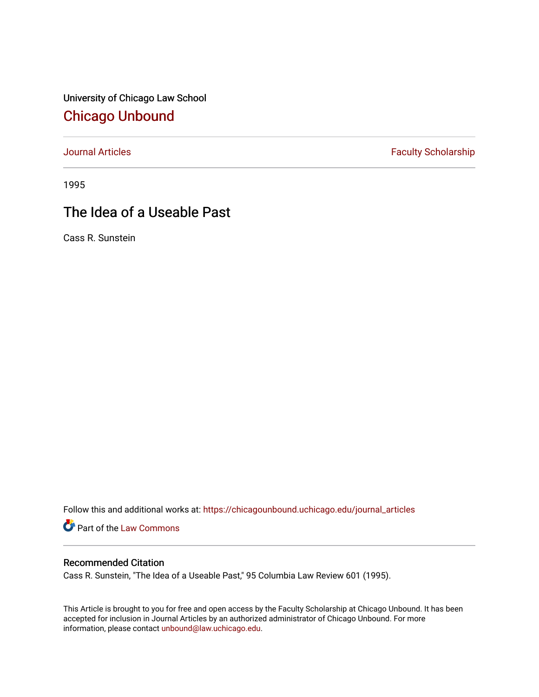University of Chicago Law School [Chicago Unbound](https://chicagounbound.uchicago.edu/)

[Journal Articles](https://chicagounbound.uchicago.edu/journal_articles) **Faculty Scholarship Faculty Scholarship** 

1995

## The Idea of a Useable Past

Cass R. Sunstein

Follow this and additional works at: [https://chicagounbound.uchicago.edu/journal\\_articles](https://chicagounbound.uchicago.edu/journal_articles?utm_source=chicagounbound.uchicago.edu%2Fjournal_articles%2F8586&utm_medium=PDF&utm_campaign=PDFCoverPages) 

Part of the [Law Commons](http://network.bepress.com/hgg/discipline/578?utm_source=chicagounbound.uchicago.edu%2Fjournal_articles%2F8586&utm_medium=PDF&utm_campaign=PDFCoverPages)

## Recommended Citation

Cass R. Sunstein, "The Idea of a Useable Past," 95 Columbia Law Review 601 (1995).

This Article is brought to you for free and open access by the Faculty Scholarship at Chicago Unbound. It has been accepted for inclusion in Journal Articles by an authorized administrator of Chicago Unbound. For more information, please contact [unbound@law.uchicago.edu](mailto:unbound@law.uchicago.edu).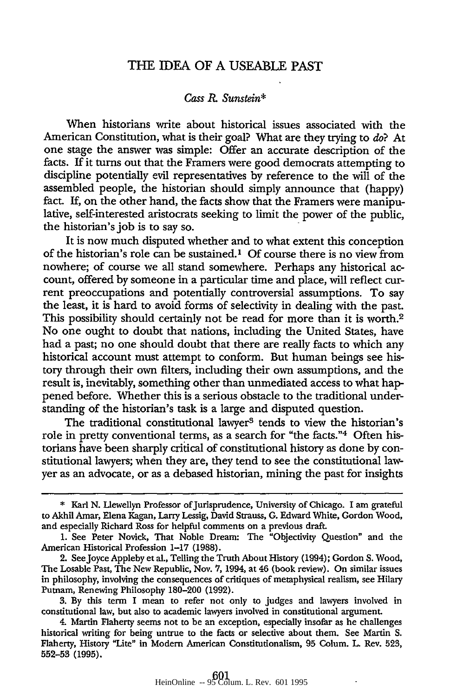## THE IDEA OF A USEABLE PAST

## *Cass* R. *Sunstein\**

When historians write about historical issues associated with the American Constitution, what is their goal? What are they trying to *do?* At one stage the answer was simple: Offer an accurate description of the facts. If it turns out that the Framers were good democrats attempting to discipline potentially evil representatives by reference to the will of the assembled people, the historian should simply announce that (happy) fact. If, on the other hand, the facts show that the Framers were manipulative, self-interested aristocrats seeking to limit the power of the public, the historian's job is to say so.

It is now much disputed whether and to what extent this conception of the historian's role can be sustained.1 Of course there is no view from nowhere; of course we all stand somewhere. Perhaps any historical account, offered by someone in a particular time and place, will reflect current preoccupations and potentially controversial assumptions. To say the least, it is hard to avoid forms of selectivity in dealing with the past. This possibility should certainly not be read for more than it is worth.<sup>2</sup> No one ought to doubt that nations, including the United States, have had a past; no one should doubt that there are really facts to which any historical account must attempt to conform. But human beings see history through their own filters, including their own assumptions, and the result is, inevitably, something other than unmediated access to what happened before. Whether this is a serious obstacle to the traditional understanding of the historian's task is a large and disputed question.

The traditional constitutional lawyer<sup>3</sup> tends to view the historian's role in pretty conventional terms, as a search for "the facts."4 Often historians have been sharply critical of constitutional history as done by constitutional lawyers; when they are, they tend to see the constitutional lawyer as an advocate, or as a debased historian, mining the past for insights

3. By this term I mean to refer not only to judges and lawyers involved in constitutional law, but also to academic lawyers involved in constitutional argument.

<sup>\*</sup> Karl **N.** Llewellyn Professor ofJurisprudence, University of Chicago. I am grateful to Akhil Amar, Elena Kagan, Larry Lessig, David Strauss, **G.** Edward White, Gordon Wood, and especially Richard Ross for helpful comments on a previous draft.

**<sup>1.</sup>** See Peter Novick, That Noble Dream: The "Objectivity Question" and the American Historical Profession 1-17 (1988).

<sup>2.</sup> SeeJoyce Appleby et al., Telling the Truth About History (1994); Gordon **S.** Wood, The Losable Past, The New Republic, Nov. **7,** 1994, at 46 (book review). On similar issues in philosophy, involving the consequences of critiques of metaphysical realism, see Hilary Putnam, Renewing Philosophy 180-200 (1992).

<sup>4.</sup> Martin Flaherty seems not to be an exception, especially insofar as he challenges historical writing for being untrue to the facts or selective about them. See Martin **S.** Flaherty, History "Lite" in Modern American Constitutionalism, 95 Colum. **L.** Rev. **523, 552-53 (1995).**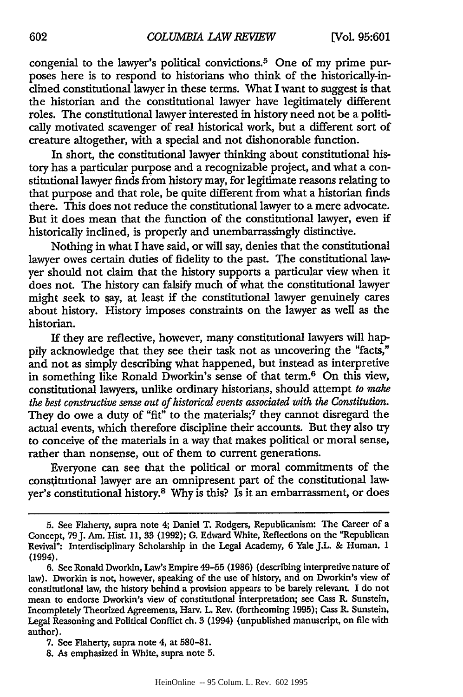congenial to the lawyer's political convictions.5 One of my prime purposes here is to respond to historians who think of the historically-inclined constitutional lawyer in these terms. What I want to suggest is that the historian and the constitutional lawyer have legitimately different roles. The constitutional lawyer interested in history need not be a politically motivated scavenger of real historical work, but a different sort of creature altogether, with a special and not dishonorable function.

In short, the constitutional lawyer thinking about constitutional history has a particular purpose and a recognizable project, and what a constitutional lawyer finds from history may, for legitimate reasons relating to that purpose and that role, be quite different from what a historian finds there. This does not reduce the constitutional lawyer to a mere advocate. But it does mean that the function of the constitutional lawyer, even if historically inclined, is properly and unembarrassingly distinctive.

Nothing in what I have said, or will say, denies that the constitutional lawyer owes certain duties of fidelity to the past. The constitutional lawyer should not claim that the history supports a particular view when it does not. The history can falsify much of what the constitutional lawyer might seek to say, at least if the constitutional lawyer genuinely cares about history. History imposes constraints on the lawyer as well as the historian.

If they are reflective, however, many constitutional lawyers will happily acknowledge that they see their task not as uncovering the "facts," and not as simply describing what happened, but instead as interpretive in something like Ronald Dworkin's sense of that term.<sup>6</sup> On this view, constitutional lawyers, unlike ordinary historians, should attempt *to make the best constructive sense out of historical events associated with the Constitution.* They do owe a duty of "fit" to the materials;<sup>7</sup> they cannot disregard the actual events, which therefore discipline their accounts. But they also try to conceive of the materials in a way that makes political or moral sense, rather than nonsense, out of them to current generations.

Everyone can see that the political or moral commitments of the consitutional lawyer are an omnipresent part of the constitutional lawyer's constitutional history.8 Why is this? Is it an embarrassment, or does

**<sup>5.</sup>** See Flaherty, supra note 4; Daniel T. Rodgers, Republicanism: The Career of a Concept, 79J. Am. Hist. 11, **33** (1992); **G.** Edward White, Reflections on the "Republican Revival": Interdisciplinary Scholarship in the Legal Academy, 6 Yale J.L. & Human. 1 (1994).

<sup>6.</sup> See Ronald Dworkin, Law's Empire 49-55 (1986) (describing interpretive nature of law). Dworkin is not. however, speaking of the use of history, and on Dworkin's view of constitutional law, the history behind a provision appears to be barely relevant. **I** do not mean to endorse Dworkin's view of constitutional interpretation; see Cass R. Sunstein, Incompletely Theorized Agreements, Harv. L. Rev. (forthcoming 1995); Cass R. Sunstein, Legal Reasoning and Political Conflict ch. **3** (1994) (unpublished manuscript, on file with author).

**<sup>7.</sup>** See Flaherty, supra note 4, at **580-81.**

**<sup>8.</sup>** As emphasized in White, supra note **5.**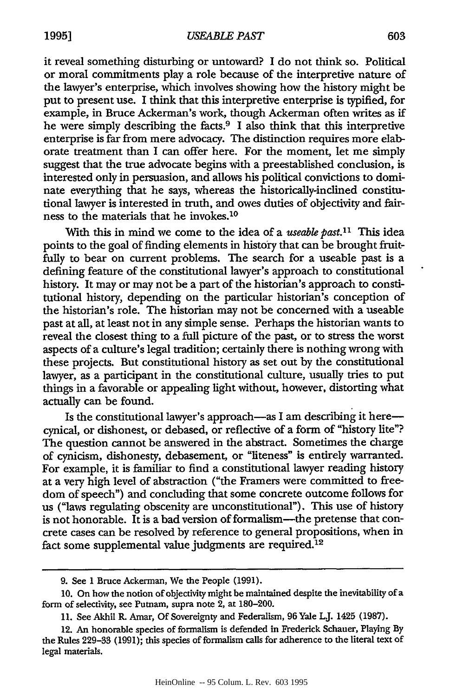it reveal something disturbing or untoward? I do not think so. Political or moral commitments play a role because of the interpretive nature of the lawyer's enterprise, which involves showing how the history might be put to present use. I think that this interpretive enterprise is typified, for example, in Bruce Ackerman's work, though Ackerman often writes as if he were simply describing the facts.9 I also think that this interpretive enterprise is far from mere advocacy. The distinction requires more elaborate treatment than I can offer here. For the moment, let me simply suggest that the true advocate begins with a preestablished conclusion, is interested only in persuasion, and allows his political convictions to dominate everything that he says, whereas the historically-inclined constitutional lawyer is interested in truth, and owes duties of objectivity and fairness to the materials that he invokes.<sup>10</sup>

With this in mind we come to the idea of a *useable past*.<sup>11</sup> This idea points to the goal of finding elements in history that can be brought fruitfully to bear on current problems. The search for a useable past is a defining feature of the constitutional lawyer's approach to constitutional history. It may or may not be a part of the historian's approach to constitutional history, depending on the particular historian's conception of the historian's role. The historian may not be concerned with a useable past at all, at least not in any simple sense. Perhaps the historian wants to reveal the closest thing to a full picture of the past, or to stress the worst aspects of a culture's legal tradition; certainly there is nothing wrong with these projects. But constitutional history as set out by the constitutional lawyer, as a participant in the constitutional culture, usually tries to put things in a favorable or appealing light without, however, distorting what actually can be found.

Is the constitutional lawyer's approach—as I am describing it here cynical, or dishonest, or debased, or reflective of a form of "history lite"? The question cannot be answered in the abstract. Sometimes the charge of cynicism, dishonesty, debasement, or "liteness" is entirely warranted. For example, it is familiar to find a constitutional lawyer reading history at a very high level of abstraction ("the Framers were committed to freedom of speech") and concluding that some concrete outcome follows for us ("laws regulating obscenity are unconstitutional"). This use of history is not honorable. It is a bad version of formalism-the pretense that concrete cases can be resolved by reference to general propositions, when in fact some supplemental value judgments are required.<sup>12</sup>

**<sup>9.</sup>** See **1** Bruce Ackerman, We the People (1991).

**<sup>10.</sup>** On how the notion of objectivity might be maintained despite the inevitability of a form of selectivity, see Putnam, supra note 2, at 180-200.

<sup>11.</sup> See Akhil R. Amar, Of Sovereignty and Federalism, **96** Yale LJ. 1425 (1987).

<sup>12.</sup> An honorable species of formalism is defended in Frederick Schauer, Playing By the Rules 229-33 (1991); this species of formalism calls for adherence to the literal text of legal materials.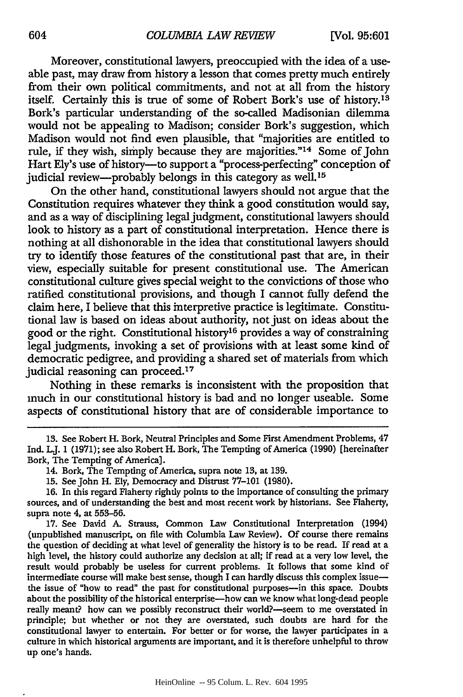Moreover, constitutional lawyers, preoccupied with the idea of a useable past, may draw from history a lesson that comes pretty much entirely from their own political commitments, and not at all from the history itself. Certainly this is true of some of Robert Bork's use of history.<sup>13</sup> Bork's particular understanding of the so-called Madisonian dilemma would not be appealing to Madison; consider Bork's suggestion, which Madison would not find even plausible, that "majorities are entitled to rule, if they wish, simply because they are majorities."<sup>14</sup> Some of John Hart Ely's use of history--to support a "process-perfecting" conception of judicial review-probably belongs in this category as well.<sup>15</sup>

On the other hand, constitutional lawyers should not argue that the Constitution requires whatever they think a good constitution would say, and as a way of disciplining legal judgment, constitutional lawyers should look to history as a part of constitutional interpretation. Hence there is nothing at all dishonorable in the idea that constitutional lawyers should try to identify those features of the constitutional past that are, in their view, especially suitable for present constitutional use. The American constitutional culture gives special weight to the convictions of those who ratified constitutional provisions, and though I cannot fully defend the claim here, I believe that this interpretive practice is legitimate. Constitutional law is based on ideas about authority, not just on ideas about the good or the right. Constitutional history16 provides a way of constraining legal judgments, invoking a set of provisions with at least some kind of democratic pedigree, and providing a shared set of materials from which judicial reasoning can proceed.<sup>17</sup>

Nothing in these remarks is inconsistent with the proposition that much in our constitutional history is bad and no longer useable. Some aspects of constitutional history that are of considerable importance to

- 14. Bork, The Tempting of America, supra note **13,** at 139.
- 15. See John H. Ely, Democracy and Distrust 77-101 (1980).
- 16. In this regard Flaherty rightly points to the importance of consulting the primary sources, and of understanding the best and most recent work by historians. See Flaherty, supra note 4, at 553-56.

17. See David A. Strauss, Common Law Constitutional Interpretation (1994) (unpublished manuscript, on file with Columbia Law Review). Of course there remains the question of deciding at what level of generality the history is to be read. If read at a high level, the history could authorize any decision at all; if read at a very low level, the result would probably be useless for current problems. It follows that some kind of intermediate course will make best sense, though I can hardly discuss this complex issuethe issue of "how to read" the past for constitutional purposes-in this space. Doubts about the possibility of the historical enterprise-how can we know what long-dead people really meant? how can we possibly reconstruct their world?-seem to me overstated in principle; but whether or not they are overstated, such doubts are hard for the constitutional lawyer to entertain. For better or for worse, the lawyer participates in a culture in which historical arguments are important, and it is therefore unhelpful to throw up one's hands.

**<sup>13.</sup>** See Robert H. Bork, Neutral Principles and Some First Amendment Problems, 47 Ind. LJ. 1 (1971); see also Robert H. Bork, The Tempting of America (1990) [hereinafter Bork, The Tempting of America].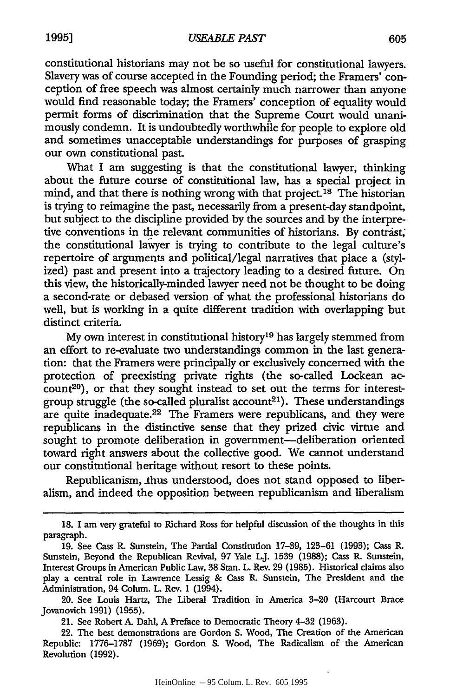constitutional historians may not be so useful for constitutional lawyers. Slavery was of course accepted in the Founding period; the Framers' conception of free speech was almost certainly much narrower than anyone would find reasonable today; the Framers' conception of equality would permit forms of discrimination that the Supreme Court would unanimously condemn. It is undoubtedly worthwhile for people to explore old and sometimes unacceptable understandings for purposes of grasping our own constitutional past.

What I am suggesting is that the constitutional lawyer, thinking about the future course of constitutional law, has a special project in mind, and that there is nothing wrong with that project.<sup>18</sup> The historian is trying to reimagine the past, necessarily from a present-day standpoint, but subject to the discipline provided by the sources and by the interpretive conventions in the relevant communities of historians. By contrast; the constitutional lavyer is trying to contribute to the legal culture's repertoire of arguments and political/legal narratives that place a (stylized) past and present into a trajectory leading to a desired future. On this view, the historically-minded lawyer need not be thought to be doing a second-rate or debased version of what the professional historians do well, but is working in a quite different tradition with overlapping but distinct criteria.

My own interest in constitutional history'9 has largely stemmed from an effort to re-evaluate two understandings common in the last generation: that the Framers were principally or exclusively concerned with the protection of preexisting private rights (the so-called Lockean ac $count^{20}$ , or that they sought instead to set out the terms for interestgroup struggle (the so-called pluralist  $account^{21}$ ). These understandings are quite inadequate.<sup>22</sup> The Framers were republicans, and they were republicans in the distinctive sense that they prized civic virtue and sought to promote deliberation in government—deliberation oriented toward right answers about the collective good. We cannot understand our constitutional heritage without resort to these points.

Republicanism, thus understood, does not stand opposed to liberalism, and indeed the opposition between republicanism and liberalism

<sup>18.</sup> I am very grateful to Richard Ross for helpful discussion of the thoughts in this paragraph.

<sup>19.</sup> See Cass R. Sunstein, The Partial Constitution 17-39, 123-61 (1993); Cass R. Sunstein, Beyond the Republican Revival, **97** Yale LJ. 1539 (1988); Cass R. Sunstein, Interest Groups in American Public Law, **38** Stan. L. Rev. **29** (1985). Historical claims also play a central role in Lawrence Lessig & Cass R. Sunstein, The President and the Administration, 94 Colum. L. Rev. 1 (1994).

<sup>20.</sup> See Louis Hartz, The Liberal Tradition in America **3-20** (Harcourt Brace Jovanovich 1991) (1955).

<sup>21.</sup> See Robert A. Dahl, A Preface to Democratic Theory 4-32 (1963).

<sup>22.</sup> The best demonstrations are Gordon S. Wood, The Creation of the American Republic: 1776-1787 (1969); Gordon S. Wood, The Radicalism of the American Revolution (1992).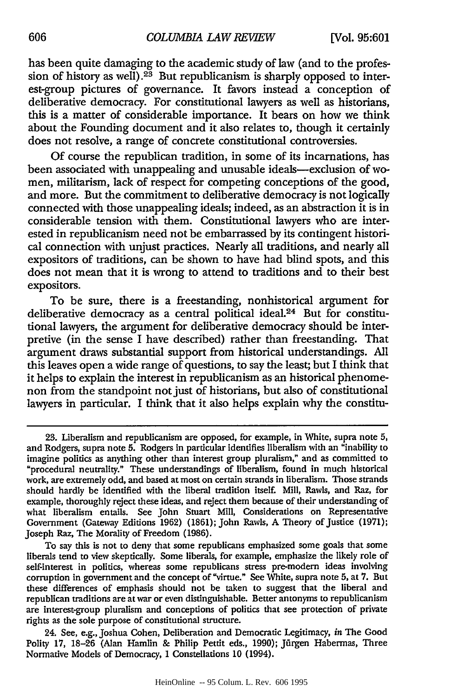has been quite damaging to the academic study of law (and to the profession of history as well).<sup>23</sup> But republicanism is sharply opposed to interest-group pictures of governance. It favors instead a conception of deliberative democracy. For constitutional lawyers as well as historians, this is a matter of considerable importance. It bears on how we think about the Founding document and it also relates to, though it certainly does not resolve, a range of concrete constitutional controversies.

**Of** course the republican tradition, in some of its incarnations, has been associated with unappealing and unusable ideals-exclusion of women, militarism, lack of respect for competing conceptions of the good, and more. But the commitment to deliberative democracy is not logically connected with those unappealing ideals; indeed, as an abstraction it is in considerable tension with them. Constitutional lawyers who are interested in republicanism need not be embarrassed by its contingent historical connection with unjust practices. Nearly all traditions, and nearly all expositors of traditions, can be shown to have had blind spots, and this does not mean that it is wrong to attend to traditions and to their best expositors.

To be sure, there is a freestanding, nonhistorical argument for deliberative democracy as a central political ideal.<sup>24</sup> But for constitutional lawyers, the argument for deliberative democracy should be interpretive (in the sense I have described) rather than freestanding. That argument draws substantial support from historical understandings. **All** this leaves open a wide range of questions, to say the least; but I think that it helps to explain the interest in republicanism as an historical phenomenon from the standpoint not just of historians, but also of constitutional lawyers in particular. I think that it also helps explain why the constitu-

To say this is not to deny that some republicans emphasized some goals that some liberals tend to view skeptically. Some liberals, for example, emphasize the likely role of self-interest in politics, whereas some republicans stress pre-modern ideas involving corruption in government and the concept of "virtue." See White, supra note 5, at 7. But these differences of emphasis should not be taken to suggest that the liberal and republican traditions are at war or even distinguishable. Better antonyms to republicanism are interest-group pluralism and conceptions of politics that see protection of private rights as the sole purpose of constitutional structure.

24. See, e.g., Joshua Cohen, Deliberation and Democratic Legitimacy, *in* The Good Polity 17, 18-26 (Alan Hamlin & Philip Pettit eds., 1990); Jürgen Habermas, Three Normative Models of Democracy, **1** Constellations 10 (1994).

<sup>23.</sup> Liberalism and republicanism are opposed, for example, in White, supra note 5, and Rodgers, supra note 5. Rodgers in particular identifies liberalism with an "inability to imagine politics as anything other than interest group pluralism," and as committed to "procedural neutrality." These understandings of liberalism, found in much historical work, are extremely odd, and based at most on certain strands in liberalism. Those strands should hardly be identified with the liberal tradition itself. Mill, Rawls, and Raz, for example, thoroughly reject these ideas, and reject them because of their understanding of what liberalism entails. See John Smart Mill, Considerations on Representative Government (Gateway Editions 1962) (1861); John Rawls, A Theory of Justice (1971); Joseph Raz, The Morality of Freedom (1986).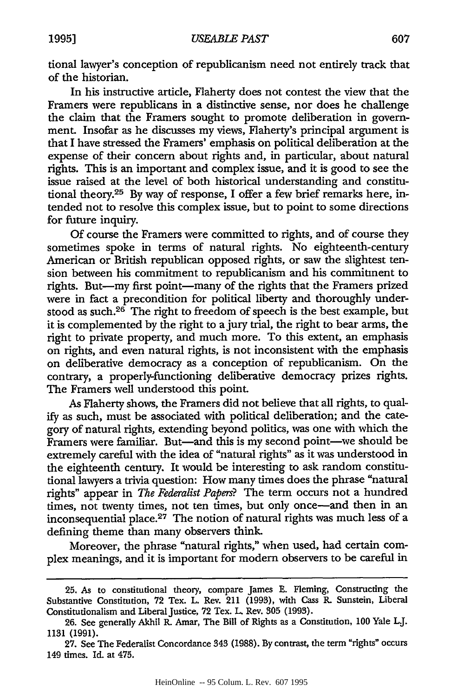tional lawyer's conception of republicanism need not entirely track that of the historian.

In his instructive article, Flaherty does not contest the view that the Framers were republicans in a distinctive sense, nor does he challenge the claim that the Framers sought to promote deliberation in **govern**ment. Insofar as he discusses my views, Flaherty's principal argument is that I have stressed the Framers' emphasis on political deliberation at the expense of their concern about rights and, in particular, about natural rights. This is an important and complex issue, and it is good to see the issue raised at the level of both historical understanding and constitutional theory.25 By way of response, I offer a few brief remarks here, intended not to resolve this complex issue, but to point to some directions for future inquiry.

**Of** course the Framers were committed to rights, and of course they sometimes spoke in terms of natural rights. No eighteenth-century American or British republican opposed rights, or saw the slightest tension between his commitment to republicanism and his commitment to rights. But-my first point-many of the rights that the Framers prized were in fact a precondition for political liberty and thoroughly understood as such.26 The right to freedom of speech is the best example, but it is complemented by the right to ajury trial, the right to bear arms, the right to private property, and much more. To this extent, an emphasis on rights, and even natural rights, is not inconsistent with the emphasis on deliberative democracy as a conception of republicanism. On the contrary, a properly-functioning deliberative democracy prizes rights. The Framers well understood this point.

As Flaherty shows, the Framers did not believe that all rights, to qual**ify** as such, must be associated with political deliberation; and the category of natural rights, extending beyond politics, was one with which the Framers were familiar. But—and this is my second point—we should be extremely careful with the idea of "natural rights" as it was understood in the eighteenth century. It would be interesting to ask random constitutional lawyers a trivia question: How many times does the phrase "natural rights" appear in *The Federalist Papers?* The term occurs not a hundred times, not twenty times, not ten times, but only once-and then in an inconsequential place. 27 The notion of natural rights was much less of a defining theme than many observers think.

Moreover, the phrase "natural rights," when used, had certain complex meanings, and it is important for modern observers to be careful in

<sup>25.</sup> As to constitutional theory, compare James E. Fleming, Constructing the Substantive Constitution, 72 Tex. L. Rev. 211 (1993), with Cass R. Sunstein, Liberal Constitutionalism and Liberal Justice, 72 Tex. L. Rev. **305** (1993).

**<sup>26.</sup>** See generally Akhil R. Amar, The Bill of Rights as a Constitution, **100** Yale *Lj.* **1131 (1991).**

<sup>27.</sup> See The Federalist Concordance 343 (1988). By contrast, the term "rights" occurs 149 times. Id. at 475.